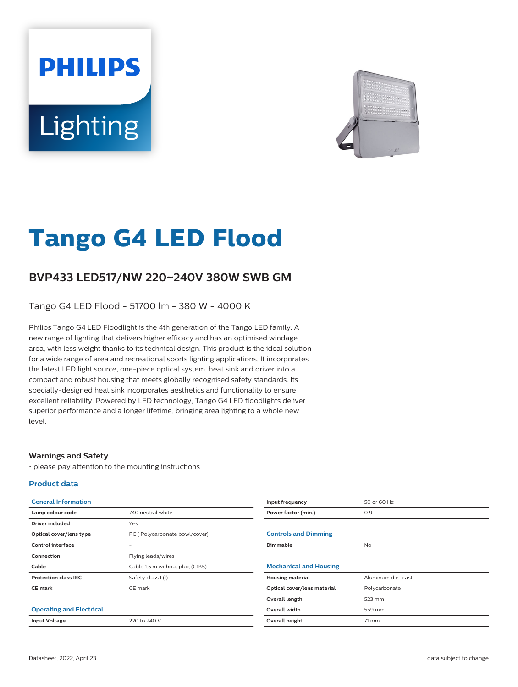# **PHILIPS** Lighting



# **Tango G4 LED Flood**

## **BVP433 LED517/NW 220**~**240V 380W SWB GM**

Tango G4 LED Flood - 51700 lm - 380 W - 4000 K

Philips Tango G4 LED Floodlight is the 4th generation of the Tango LED family. A new range of lighting that delivers higher efficacy and has an optimised windage area, with less weight thanks to its technical design. This product is the ideal solution for a wide range of area and recreational sports lighting applications. It incorporates the latest LED light source, one-piece optical system, heat sink and driver into a compact and robust housing that meets globally recognised safety standards. Its specially-designed heat sink incorporates aesthetics and functionality to ensure excellent reliability. Powered by LED technology, Tango G4 LED floodlights deliver superior performance and a longer lifetime, bringing area lighting to a whole new level.

#### **Warnings and Safety**

• please pay attention to the mounting instructions

#### **Product data**

| <b>General Information</b>      |                                 |
|---------------------------------|---------------------------------|
| Lamp colour code                | 740 neutral white               |
| Driver included                 | Yes                             |
| Optical cover/lens type         | PC [ Polycarbonate bowl/cover]  |
| Control interface               |                                 |
| Connection                      | Flying leads/wires              |
| Cable                           | Cable 1.5 m without plug (C1K5) |
| <b>Protection class IEC</b>     | Safety class I (I)              |
| <b>CE</b> mark                  | CE mark                         |
|                                 |                                 |
| <b>Operating and Electrical</b> |                                 |
| <b>Input Voltage</b>            | 220 to 240 V                    |

| Input frequency               | 50 or 60 Hz       |
|-------------------------------|-------------------|
| Power factor (min.)           | 0.9               |
|                               |                   |
| <b>Controls and Dimming</b>   |                   |
| Dimmable                      | <b>No</b>         |
|                               |                   |
| <b>Mechanical and Housing</b> |                   |
| <b>Housing material</b>       | Aluminum die-cast |
| Optical cover/lens material   | Polycarbonate     |
| Overall length                | 523 mm            |
| Overall width                 | 559 mm            |
| Overall height                | 71 mm             |
|                               |                   |